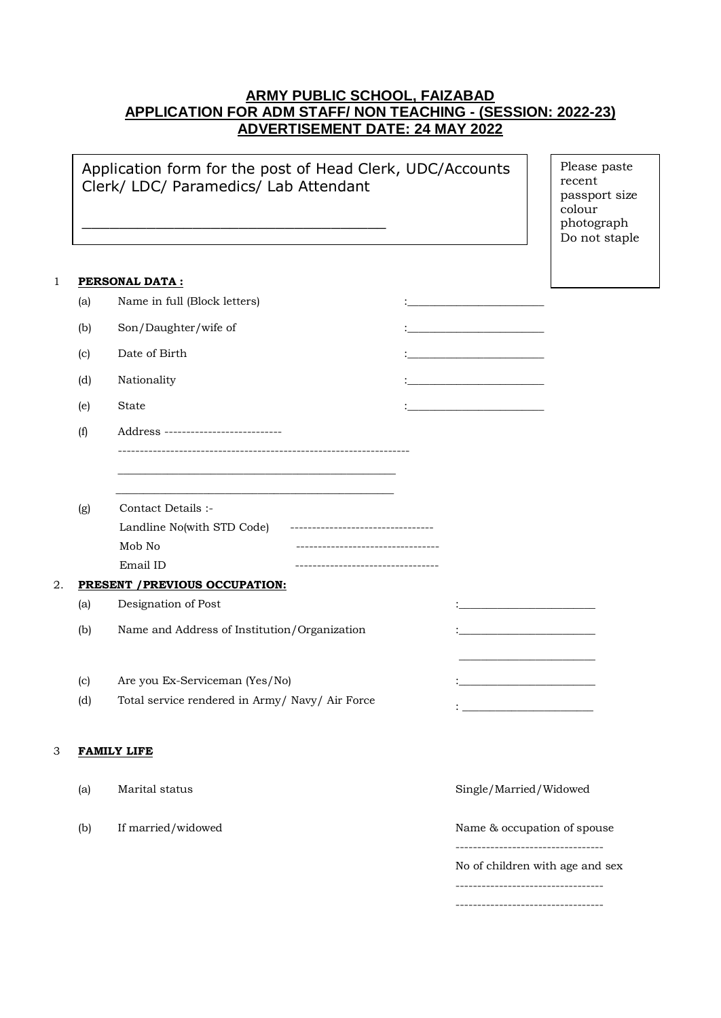# **ARMY PUBLIC SCHOOL, FAIZABAD APPLICATION FOR ADM STAFF/ NON TEACHING - (SESSION: 2022-23) ADVERTISEMENT DATE: 24 MAY 2022**

Application form for the post of Head Clerk, UDC/Accounts Clerk/ LDC/ Paramedics/ Lab Attendant

\_\_\_\_\_\_\_\_\_\_\_\_\_\_\_\_\_\_\_\_\_\_\_\_\_\_\_\_\_\_\_\_\_

Please paste recent passport size colour photograph Do not staple

### 1 **PERSONAL DATA :**

 $\mathcal{L}=\mathcal{L}$ 

|    | (a) | Name in full (Block letters)                                                              |                                    |  |                                               |  |
|----|-----|-------------------------------------------------------------------------------------------|------------------------------------|--|-----------------------------------------------|--|
|    | (b) | Son/Daughter/wife of                                                                      |                                    |  |                                               |  |
|    | (c) | Date of Birth                                                                             |                                    |  |                                               |  |
|    | (d) | Nationality                                                                               |                                    |  | the control of the control of the control of  |  |
|    |     |                                                                                           |                                    |  |                                               |  |
|    | (e) | State                                                                                     |                                    |  |                                               |  |
|    | (f) | Address ----------------------------                                                      |                                    |  |                                               |  |
|    |     |                                                                                           |                                    |  |                                               |  |
|    |     | the control of the control of the control of the control of the control of the control of |                                    |  |                                               |  |
|    | (g) | Contact Details :-                                                                        |                                    |  |                                               |  |
|    |     | Landline No(with STD Code)                                                                | ---------------------------------  |  |                                               |  |
|    |     | Mob No                                                                                    | ---------------------------------- |  |                                               |  |
|    |     | Email ID                                                                                  | ---------------------------------- |  |                                               |  |
| 2. |     | PRESENT / PREVIOUS OCCUPATION:                                                            |                                    |  |                                               |  |
|    | (a) | Designation of Post                                                                       |                                    |  | <u> 1950 - Johann John Stone, mars et al.</u> |  |
|    | (b) | Name and Address of Institution/Organization                                              |                                    |  |                                               |  |
|    |     |                                                                                           |                                    |  |                                               |  |
|    | (c) | Are you Ex-Serviceman (Yes/No)                                                            |                                    |  | the control of the control of the control of  |  |
|    | (d) | Total service rendered in Army/ Navy/ Air Force                                           |                                    |  |                                               |  |
|    |     |                                                                                           |                                    |  |                                               |  |
| 3  |     | <b>FAMILY LIFE</b>                                                                        |                                    |  |                                               |  |
|    |     |                                                                                           |                                    |  |                                               |  |
|    | (a) | Marital status                                                                            |                                    |  | Single/Married/Widowed                        |  |
|    |     |                                                                                           |                                    |  |                                               |  |
|    | (b) | If married/widowed                                                                        |                                    |  | Name & occupation of spouse                   |  |
|    |     |                                                                                           |                                    |  | ----------------------------------            |  |

No of children with age and sex

----------------------------------

----------------------------------